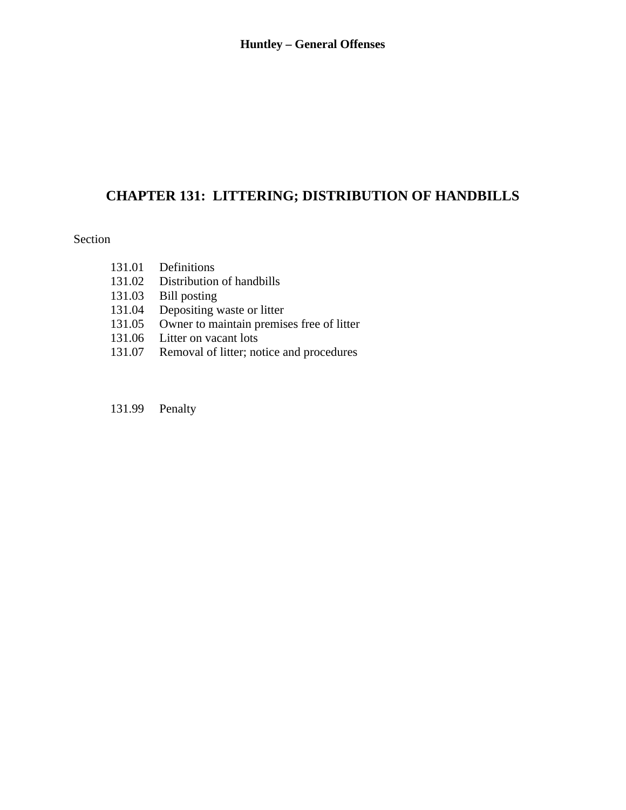# **CHAPTER 131: LITTERING; DISTRIBUTION OF HANDBILLS**

### Section

- 131.01 Definitions
- 131.02 Distribution of handbills
- 131.03 Bill posting
- 131.04 Depositing waste or litter
- 131.05 Owner to maintain premises free of litter
- 131.06 Litter on vacant lots
- 131.07 Removal of litter; notice and procedures
- 131.99 Penalty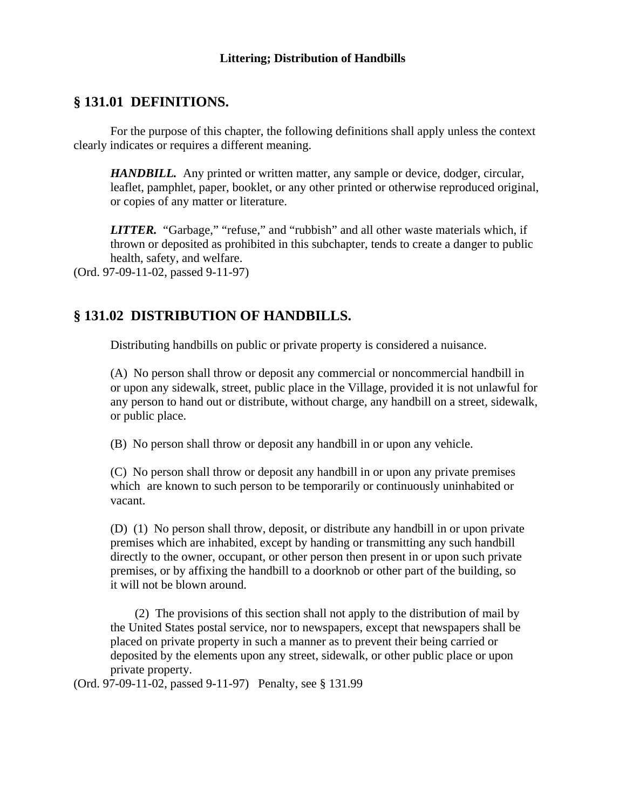# **§ 131.01 DEFINITIONS.**

 For the purpose of this chapter, the following definitions shall apply unless the context clearly indicates or requires a different meaning.

*HANDBILL.* Any printed or written matter, any sample or device, dodger, circular, leaflet, pamphlet, paper, booklet, or any other printed or otherwise reproduced original, or copies of any matter or literature.

LITTER. "Garbage," "refuse," and "rubbish" and all other waste materials which, if thrown or deposited as prohibited in this subchapter, tends to create a danger to public health, safety, and welfare.

(Ord. 97-09-11-02, passed 9-11-97)

# **§ 131.02 DISTRIBUTION OF HANDBILLS.**

Distributing handbills on public or private property is considered a nuisance.

 (A) No person shall throw or deposit any commercial or noncommercial handbill in or upon any sidewalk, street, public place in the Village, provided it is not unlawful for any person to hand out or distribute, without charge, any handbill on a street, sidewalk, or public place.

(B) No person shall throw or deposit any handbill in or upon any vehicle.

 (C) No person shall throw or deposit any handbill in or upon any private premises which are known to such person to be temporarily or continuously uninhabited or vacant.

(D) (1) No person shall throw, deposit, or distribute any handbill in or upon private premises which are inhabited, except by handing or transmitting any such handbill directly to the owner, occupant, or other person then present in or upon such private premises, or by affixing the handbill to a doorknob or other part of the building, so it will not be blown around.

 (2) The provisions of this section shall not apply to the distribution of mail by the United States postal service, nor to newspapers, except that newspapers shall be placed on private property in such a manner as to prevent their being carried or deposited by the elements upon any street, sidewalk, or other public place or upon private property.

(Ord. 97-09-11-02, passed 9-11-97) Penalty, see § 131.99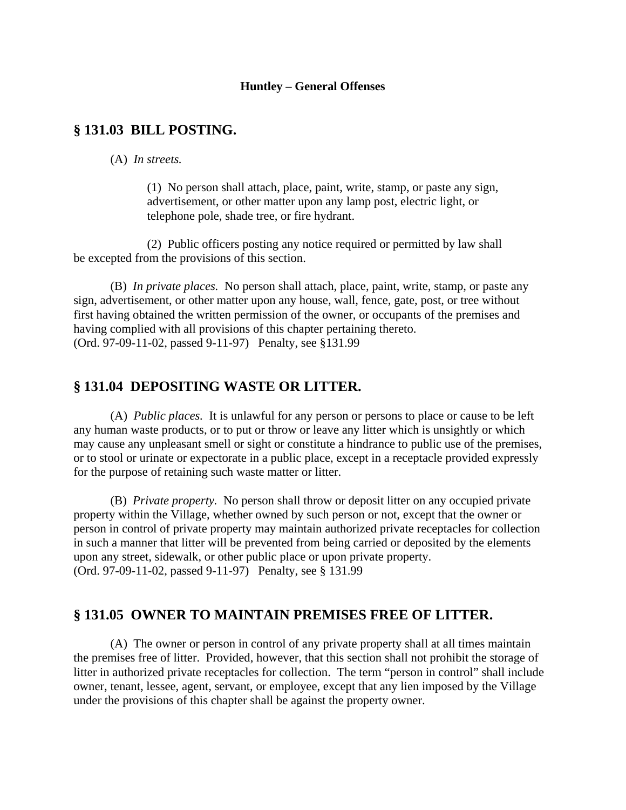#### **Huntley – General Offenses**

## **§ 131.03 BILL POSTING.**

(A) *In streets.*

(1) No person shall attach, place, paint, write, stamp, or paste any sign, advertisement, or other matter upon any lamp post, electric light, or telephone pole, shade tree, or fire hydrant.

 (2) Public officers posting any notice required or permitted by law shall be excepted from the provisions of this section.

 (B) *In private places.* No person shall attach, place, paint, write, stamp, or paste any sign, advertisement, or other matter upon any house, wall, fence, gate, post, or tree without first having obtained the written permission of the owner, or occupants of the premises and having complied with all provisions of this chapter pertaining thereto. (Ord. 97-09-11-02, passed 9-11-97) Penalty, see §131.99

#### **§ 131.04 DEPOSITING WASTE OR LITTER.**

 (A) *Public places.* It is unlawful for any person or persons to place or cause to be left any human waste products, or to put or throw or leave any litter which is unsightly or which may cause any unpleasant smell or sight or constitute a hindrance to public use of the premises, or to stool or urinate or expectorate in a public place, except in a receptacle provided expressly for the purpose of retaining such waste matter or litter.

 (B) *Private property.* No person shall throw or deposit litter on any occupied private property within the Village, whether owned by such person or not, except that the owner or person in control of private property may maintain authorized private receptacles for collection in such a manner that litter will be prevented from being carried or deposited by the elements upon any street, sidewalk, or other public place or upon private property. (Ord. 97-09-11-02, passed 9-11-97) Penalty, see § 131.99

### **§ 131.05 OWNER TO MAINTAIN PREMISES FREE OF LITTER.**

 (A) The owner or person in control of any private property shall at all times maintain the premises free of litter. Provided, however, that this section shall not prohibit the storage of litter in authorized private receptacles for collection. The term "person in control" shall include owner, tenant, lessee, agent, servant, or employee, except that any lien imposed by the Village under the provisions of this chapter shall be against the property owner.